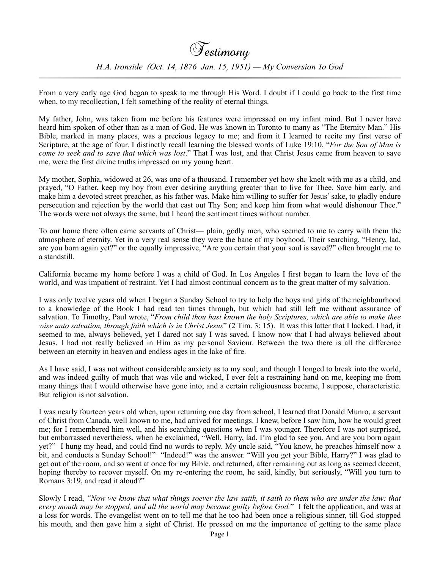From a very early age God began to speak to me through His Word. I doubt if I could go back to the first time when, to my recollection, I felt something of the reality of eternal things.

My father, John, was taken from me before his features were impressed on my infant mind. But I never have heard him spoken of other than as a man of God. He was known in Toronto to many as "The Eternity Man." His Bible, marked in many places, was a precious legacy to me; and from it I learned to recite my first verse of Scripture, at the age of four. I distinctly recall learning the blessed words of Luke 19:10, "*For the Son of Man is come to seek and to save that which was lost*." That I was lost, and that Christ Jesus came from heaven to save me, were the first divine truths impressed on my young heart.

My mother, Sophia, widowed at 26, was one of a thousand. I remember yet how she knelt with me as a child, and prayed, "O Father, keep my boy from ever desiring anything greater than to live for Thee. Save him early, and make him a devoted street preacher, as his father was. Make him willing to suffer for Jesus' sake, to gladly endure persecution and rejection by the world that cast out Thy Son; and keep him from what would dishonour Thee." The words were not always the same, but I heard the sentiment times without number.

To our home there often came servants of Christ— plain, godly men, who seemed to me to carry with them the atmosphere of eternity. Yet in a very real sense they were the bane of my boyhood. Their searching, "Henry, lad, are you born again yet?" or the equally impressive, "Are you certain that your soul is saved?" often brought me to a standstill.

California became my home before I was a child of God. In Los Angeles I first began to learn the love of the world, and was impatient of restraint. Yet I had almost continual concern as to the great matter of my salvation.

I was only twelve years old when I began a Sunday School to try to help the boys and girls of the neighbourhood to a knowledge of the Book I had read ten times through, but which had still left me without assurance of salvation. To Timothy, Paul wrote, "*From child thou hast known the holy Scriptures, which are able to make thee wise unto salvation, through faith which is in Christ Jesus*" (2 Tim. 3: 15). It was this latter that I lacked. I had, it seemed to me, always believed, yet I dared not say I was saved. I know now that I had always believed about Jesus. I had not really believed in Him as my personal Saviour. Between the two there is all the difference between an eternity in heaven and endless ages in the lake of fire.

As I have said, I was not without considerable anxiety as to my soul; and though I longed to break into the world, and was indeed guilty of much that was vile and wicked, I ever felt a restraining hand on me, keeping me from many things that I would otherwise have gone into; and a certain religiousness became, I suppose, characteristic. But religion is not salvation.

I was nearly fourteen years old when, upon returning one day from school, I learned that Donald Munro, a servant of Christ from Canada, well known to me, had arrived for meetings. I knew, before I saw him, how he would greet me; for I remembered him well, and his searching questions when I was younger. Therefore I was not surprised, but embarrassed nevertheless, when he exclaimed, "Well, Harry, lad, I'm glad to see you. And are you born again yet?" I hung my head, and could find no words to reply. My uncle said, "You know, he preaches himself now a bit, and conducts a Sunday School!" "Indeed!" was the answer. "Will you get your Bible, Harry?" I was glad to get out of the room, and so went at once for my Bible, and returned, after remaining out as long as seemed decent, hoping thereby to recover myself. On my re-entering the room, he said, kindly, but seriously, "Will you turn to Romans 3:19, and read it aloud?"

Slowly I read, *"Now we know that what things soever the law saith, it saith to them who are under the law: that every mouth may be stopped, and all the world may become guilty before God.*" I felt the application, and was at a loss for words. The evangelist went on to tell me that he too had been once a religious sinner, till God stopped his mouth, and then gave him a sight of Christ. He pressed on me the importance of getting to the same place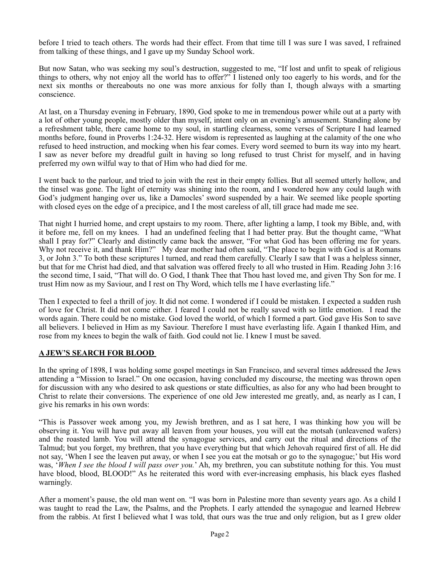before I tried to teach others. The words had their effect. From that time till I was sure I was saved, I refrained from talking of these things, and I gave up my Sunday School work.

But now Satan, who was seeking my soul's destruction, suggested to me, "If lost and unfit to speak of religious things to others, why not enjoy all the world has to offer?" I listened only too eagerly to his words, and for the next six months or thereabouts no one was more anxious for folly than I, though always with a smarting conscience.

At last, on a Thursday evening in February, 1890, God spoke to me in tremendous power while out at a party with a lot of other young people, mostly older than myself, intent only on an evening's amusement. Standing alone by a refreshment table, there came home to my soul, in startling clearness, some verses of Scripture I had learned months before, found in Proverbs 1:24-32. Here wisdom is represented as laughing at the calamity of the one who refused to heed instruction, and mocking when his fear comes. Every word seemed to burn its way into my heart. I saw as never before my dreadful guilt in having so long refused to trust Christ for myself, and in having preferred my own wilful way to that of Him who had died for me.

I went back to the parlour, and tried to join with the rest in their empty follies. But all seemed utterly hollow, and the tinsel was gone. The light of eternity was shining into the room, and I wondered how any could laugh with God's judgment hanging over us, like a Damocles' sword suspended by a hair. We seemed like people sporting with closed eyes on the edge of a precipice, and I the most careless of all, till grace had made me see.

That night I hurried home, and crept upstairs to my room. There, after lighting a lamp, I took my Bible, and, with it before me, fell on my knees. I had an undefined feeling that I had better pray. But the thought came, "What shall I pray for?" Clearly and distinctly came back the answer, "For what God has been offering me for years. Why not receive it, and thank Him?" My dear mother had often said, "The place to begin with God is at Romans 3, or John 3." To both these scriptures l turned, and read them carefully. Clearly I saw that I was a helpless sinner, but that for me Christ had died, and that salvation was offered freely to all who trusted in Him. Reading John 3:16 the second time, I said, "That will do. O God, I thank Thee that Thou hast loved me, and given Thy Son for me. I trust Him now as my Saviour, and I rest on Thy Word, which tells me I have everlasting life."

Then I expected to feel a thrill of joy. It did not come. I wondered if I could be mistaken. I expected a sudden rush of love for Christ. It did not come either. I feared I could not be really saved with so little emotion. I read the words again. There could be no mistake. God loved the world, of which I formed a part. God gave His Son to save all believers. I believed in Him as my Saviour. Therefore I must have everlasting life. Again I thanked Him, and rose from my knees to begin the walk of faith. God could not lie. I knew I must be saved.

## **A JEW'S SEARCH FOR BLOOD**

In the spring of 1898, I was holding some gospel meetings in San Francisco, and several times addressed the Jews attending a "Mission to Israel." On one occasion, having concluded my discourse, the meeting was thrown open for discussion with any who desired to ask questions or state difficulties, as also for any who had been brought to Christ to relate their conversions. The experience of one old Jew interested me greatly, and, as nearly as I can, I give his remarks in his own words:

"This is Passover week among you, my Jewish brethren, and as I sat here, I was thinking how you will be observing it. You will have put away all leaven from your houses, you will eat the motsah (unleavened wafers) and the roasted lamb. You will attend the synagogue services, and carry out the ritual and directions of the Talmud; but you forget, my brethren, that you have everything but that which Jehovah required first of all. He did not say, 'When I see the leaven put away, or when I see you eat the motsah or go to the synagogue;' but His word was, '*When I see the blood I will pass over you.*' Ah, my brethren, you can substitute nothing for this. You must have blood, blood, BLOOD!" As he reiterated this word with ever-increasing emphasis, his black eyes flashed warningly.

After a moment's pause, the old man went on. "I was born in Palestine more than seventy years ago. As a child I was taught to read the Law, the Psalms, and the Prophets. I early attended the synagogue and learned Hebrew from the rabbis. At first I believed what I was told, that ours was the true and only religion, but as I grew older